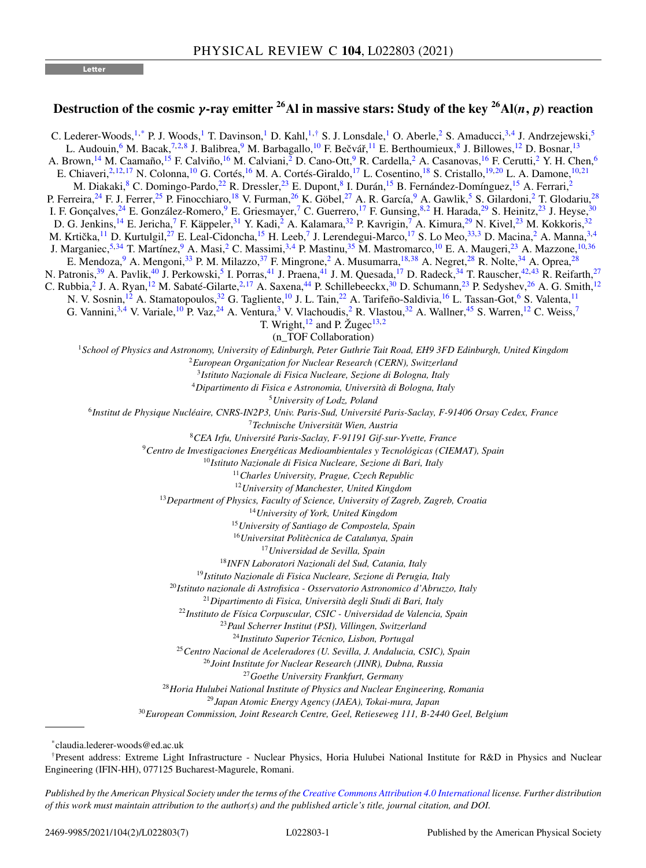**Letter**

## **Destruction of the cosmic** *γ***-ray emitter 26Al in massive stars: Study of the key 26Al(***n, p***) reaction**

C. Lederer-Woods,<sup>1,\*</sup> P. J. Woods,<sup>1</sup> T. Davinson,<sup>1</sup> D. Kahl,<sup>1,†</sup> S. J. Lonsdale,<sup>1</sup> O. Aberle,<sup>2</sup> S. Amaducci,<sup>3,4</sup> J. Andrzejewski,<sup>5</sup> L. Audouin,<sup>6</sup> M. Bacak,<sup>7,2,8</sup> J. Balibrea,<sup>9</sup> M. Barbagallo,<sup>10</sup> F. Bečvář,<sup>11</sup> E. Berthoumieux,<sup>8</sup> J. Billowes,<sup>12</sup> D. Bosnar,<sup>13</sup> A. Brown,<sup>14</sup> M. Caamaño,<sup>15</sup> F. Calviño,<sup>16</sup> M. Calviani,<sup>2</sup> D. Cano-Ott,<sup>9</sup> R. Cardella,<sup>2</sup> A. Casanovas,<sup>16</sup> F. Cerutti,<sup>2</sup> Y. H. Chen,<sup>6</sup> E. Chiaveri,<sup>2,12,17</sup> N. Colonna,<sup>10</sup> G. Cortés,<sup>16</sup> M. A. Cortés-Giraldo,<sup>17</sup> L. Cosentino,<sup>18</sup> S. Cristallo,<sup>19,20</sup> L. A. Damone,<sup>10,21</sup> M. Diakaki,<sup>8</sup> C. Domingo-Pardo,<sup>22</sup> R. Dressler,<sup>23</sup> E. Dupont,<sup>8</sup> I. Durán,<sup>15</sup> B. Fernández-Domínguez,<sup>15</sup> A. Ferrari,<sup>2</sup> P. Ferreira,<sup>24</sup> F. J. Ferrer,<sup>25</sup> P. Finocchiaro,<sup>18</sup> V. Furman,<sup>26</sup> K. Göbel,<sup>27</sup> A. R. García,<sup>9</sup> A. Gawlik,<sup>5</sup> S. Gilardoni,<sup>2</sup> T. Glodariu,<sup>28</sup> I. F. Gonçalves,<sup>24</sup> E. González-Romero,<sup>9</sup> E. Griesmayer,<sup>7</sup> C. Guerrero,<sup>17</sup> F. Gunsing,<sup>8,2</sup> H. Harada,<sup>29</sup> S. Heinitz,<sup>23</sup> J. Heyse,<sup>30</sup> D. G. Jenkins,<sup>14</sup> E. Jericha,<sup>7</sup> F. Käppeler,<sup>31</sup> Y. Kadi,<sup>2</sup> A. Kalamara,<sup>[32](#page-1-0)</sup> P. Kavrigin,<sup>7</sup> A. Kimura,<sup>29</sup> N. Kivel,<sup>23</sup> M. Kokkoris,<sup>32</sup> M. Krtička,<sup>11</sup> D. Kurtulgil,<sup>27</sup> E. Leal-Cidoncha,<sup>15</sup> H. Leeb,<sup>7</sup> J. Lerendegui-Marco,<sup>17</sup> S. Lo Meo,<sup>[33,](#page-1-0)3</sup> D. Macina,<sup>2</sup> A. Manna,<sup>3,4</sup> J. Marganiec,<sup>5[,34](#page-1-0)</sup> T. Martínez,<sup>9</sup> A. Masi,<sup>2</sup> C. Massimi,<sup>3,4</sup> P. Mastinu,<sup>[35](#page-1-0)</sup> M. Mastromarco,<sup>10</sup> E. A. Maugeri,<sup>23</sup> A. Mazzone,<sup>10,[36](#page-1-0)</sup> E. Mendoza, <sup>9</sup> A. Mengoni, <sup>[33](#page-1-0)</sup> P. M. Milazzo, <sup>[37](#page-1-0)</sup> F. Mingrone, <sup>2</sup> A. Musumarra, <sup>18[,38](#page-1-0)</sup> A. Negret, <sup>28</sup> R. Nolte, <sup>[34](#page-1-0)</sup> A. Oprea, <sup>28</sup> N. Patronis,<sup>[39](#page-1-0)</sup> A. Pavlik,<sup>[40](#page-1-0)</sup> J. Perkowski,<sup>5</sup> I. Porras,<sup>41</sup> J. Praena,<sup>41</sup> J. M. Quesada,<sup>17</sup> D. Radeck,<sup>34</sup> T. Rauscher,<sup>[42,43](#page-1-0)</sup> R. Reifarth,<sup>27</sup> C. Rubbia,<sup>2</sup> J. A. Ryan,<sup>12</sup> M. Sabaté-Gilarte,<sup>2,17</sup> A. Saxena,<sup>[44](#page-1-0)</sup> P. Schillebeeckx,<sup>30</sup> D. Schumann,<sup>23</sup> P. Sedyshev,<sup>26</sup> A. G. Smith,<sup>12</sup> N. V. Sosnin, <sup>12</sup> A. Stamatopoulos, <sup>[32](#page-1-0)</sup> G. Tagliente, <sup>10</sup> J. L. Tain, <sup>22</sup> A. Tarifeño-Saldivia, <sup>16</sup> L. Tassan-Got, <sup>6</sup> S. Valenta, <sup>11</sup> G. Vannini,<sup>3,4</sup> V. Variale,<sup>10</sup> P. Vaz,<sup>24</sup> A. Ventura,<sup>3</sup> V. Vlachoudis,<sup>2</sup> R. Vlastou,<sup>[32](#page-1-0)</sup> A. Wallner,<sup>[45](#page-1-0)</sup> S. Warren,<sup>12</sup> C. Weiss,<sup>7</sup> T. Wright, $12$  and P. Žugec $13,2$ (n\_TOF Collaboration) *School of Physics and Astronomy, University of Edinburgh, Peter Guthrie Tait Road, EH9 3FD Edinburgh, United Kingdom European Organization for Nuclear Research (CERN), Switzerland Istituto Nazionale di Fisica Nucleare, Sezione di Bologna, Italy Dipartimento di Fisica e Astronomia, Università di Bologna, Italy University of Lodz, Poland Institut de Physique Nucléaire, CNRS-IN2P3, Univ. Paris-Sud, Université Paris-Saclay, F-91406 Orsay Cedex, France Technische Universität Wien, Austria CEA Irfu, Université Paris-Saclay, F-91191 Gif-sur-Yvette, France Centro de Investigaciones Energéticas Medioambientales y Tecnológicas (CIEMAT), Spain Istituto Nazionale di Fisica Nucleare, Sezione di Bari, Italy Charles University, Prague, Czech Republic University of Manchester, United Kingdom Department of Physics, Faculty of Science, University of Zagreb, Zagreb, Croatia University of York, United Kingdom University of Santiago de Compostela, Spain Universitat Politècnica de Catalunya, Spain Universidad de Sevilla, Spain INFN Laboratori Nazionali del Sud, Catania, Italy Istituto Nazionale di Fisica Nucleare, Sezione di Perugia, Italy Istituto nazionale di Astrofisica - Osservatorio Astronomico d'Abruzzo, Italy Dipartimento di Fisica, Università degli Studi di Bari, Italy Instituto de Física Corpuscular, CSIC - Universidad de Valencia, Spain Paul Scherrer Institut (PSI), Villingen, Switzerland Instituto Superior Técnico, Lisbon, Portugal Centro Nacional de Aceleradores (U. Sevilla, J. Andalucia, CSIC), Spain Joint Institute for Nuclear Research (JINR), Dubna, Russia Goethe University Frankfurt, Germany Horia Hulubei National Institute of Physics and Nuclear Engineering, Romania Japan Atomic Energy Agency (JAEA), Tokai-mura, Japan European Commission, Joint Research Centre, Geel, Retieseweg 111, B-2440 Geel, Belgium*

\*claudia.lederer-woods@ed.ac.uk

†Present address: Extreme Light Infrastructure - Nuclear Physics, Horia Hulubei National Institute for R&D in Physics and Nuclear Engineering (IFIN-HH), 077125 Bucharest-Magurele, Romani.

*Published by the American Physical Society under the terms of the [Creative Commons Attribution 4.0 International](https://creativecommons.org/licenses/by/4.0/) license. Further distribution of this work must maintain attribution to the author(s) and the published article's title, journal citation, and DOI.*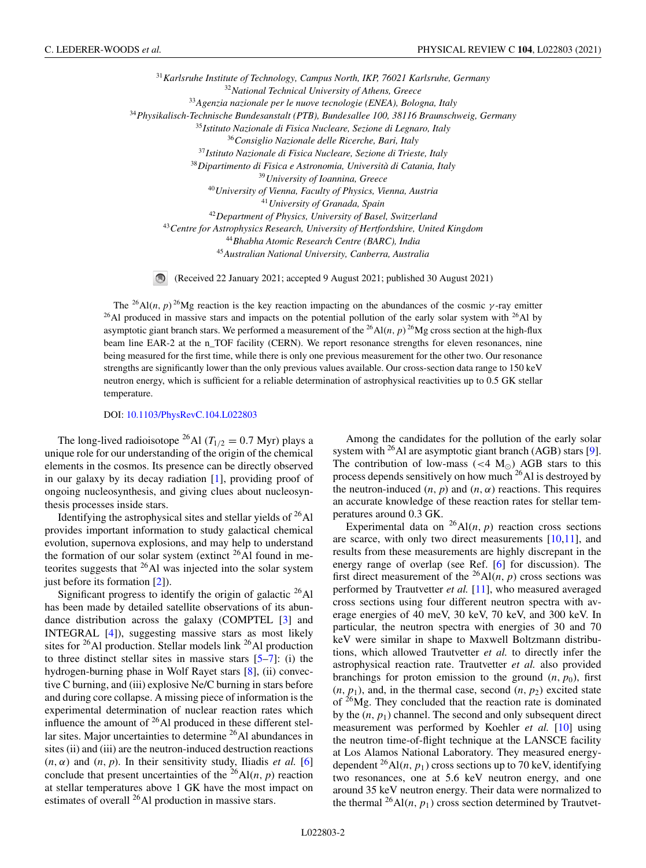<span id="page-1-0"></span>*Karlsruhe Institute of Technology, Campus North, IKP, 76021 Karlsruhe, Germany National Technical University of Athens, Greece Agenzia nazionale per le nuove tecnologie (ENEA), Bologna, Italy Physikalisch-Technische Bundesanstalt (PTB), Bundesallee 100, 38116 Braunschweig, Germany Istituto Nazionale di Fisica Nucleare, Sezione di Legnaro, Italy Consiglio Nazionale delle Ricerche, Bari, Italy Istituto Nazionale di Fisica Nucleare, Sezione di Trieste, Italy Dipartimento di Fisica e Astronomia, Università di Catania, Italy University of Ioannina, Greece University of Vienna, Faculty of Physics, Vienna, Austria University of Granada, Spain Department of Physics, University of Basel, Switzerland Centre for Astrophysics Research, University of Hertfordshire, United Kingdom Bhabha Atomic Research Centre (BARC), India Australian National University, Canberra, Australia*

 $\circ$ (Received 22 January 2021; accepted 9 August 2021; published 30 August 2021)

The <sup>26</sup>Al(*n*, *p*) <sup>26</sup>Mg reaction is the key reaction impacting on the abundances of the cosmic  $\gamma$ -ray emitter  $^{26}$ Al produced in massive stars and impacts on the potential pollution of the early solar system with  $^{26}$ Al by asymptotic giant branch stars. We performed a measurement of the <sup>26</sup>Al(*n*, *p*)<sup>26</sup>Mg cross section at the high-flux beam line EAR-2 at the n\_TOF facility (CERN). We report resonance strengths for eleven resonances, nine being measured for the first time, while there is only one previous measurement for the other two. Our resonance strengths are significantly lower than the only previous values available. Our cross-section data range to 150 keV neutron energy, which is sufficient for a reliable determination of astrophysical reactivities up to 0.5 GK stellar temperature.

DOI: [10.1103/PhysRevC.104.L022803](https://doi.org/10.1103/PhysRevC.104.L022803)

The long-lived radioisotope <sup>26</sup>Al ( $T_{1/2} = 0.7$  Myr) plays a unique role for our understanding of the origin of the chemical elements in the cosmos. Its presence can be directly observed in our galaxy by its decay radiation [\[1\]](#page-6-0), providing proof of ongoing nucleosynthesis, and giving clues about nucleosynthesis processes inside stars.

Identifying the astrophysical sites and stellar yields of  $^{26}$ Al provides important information to study galactical chemical evolution, supernova explosions, and may help to understand the formation of our solar system (extinct  $26\text{\AA}$ ) found in meteorites suggests that  $^{26}$ Al was injected into the solar system just before its formation [\[2\]](#page-6-0)).

Significant progress to identify the origin of galactic  $^{26}$ Al has been made by detailed satellite observations of its abundance distribution across the galaxy (COMPTEL [\[3\]](#page-6-0) and INTEGRAL [\[4\]](#page-6-0)), suggesting massive stars as most likely sites for  $^{26}$ Al production. Stellar models link  $^{26}$ Al production to three distinct stellar sites in massive stars [\[5–7\]](#page-6-0): (i) the hydrogen-burning phase in Wolf Rayet stars [\[8\]](#page-6-0), (ii) convective C burning, and (iii) explosive Ne/C burning in stars before and during core collapse. A missing piece of information is the experimental determination of nuclear reaction rates which influence the amount of 26Al produced in these different stellar sites. Major uncertainties to determine  $^{26}$ Al abundances in sites (ii) and (iii) are the neutron-induced destruction reactions  $(n, \alpha)$  and  $(n, p)$ . In their sensitivity study, Iliadis *et al.* [\[6\]](#page-6-0) conclude that present uncertainties of the  $^{26}$ Al(*n*, *p*) reaction at stellar temperatures above 1 GK have the most impact on estimates of overall  $^{26}$ Al production in massive stars.

Among the candidates for the pollution of the early solar system with  $^{26}$ Al are asymptotic giant branch (AGB) stars [\[9\]](#page-6-0). The contribution of low-mass (<4  $M_{\odot}$ ) AGB stars to this process depends sensitively on how much 26Al is destroyed by the neutron-induced  $(n, p)$  and  $(n, \alpha)$  reactions. This requires an accurate knowledge of these reaction rates for stellar temperatures around 0.3 GK.

Experimental data on  $^{26}$ Al(*n*, *p*) reaction cross sections are scarce, with only two direct measurements [\[10,11\]](#page-6-0), and results from these measurements are highly discrepant in the energy range of overlap (see Ref. [\[6\]](#page-6-0) for discussion). The first direct measurement of the <sup>26</sup>Al(*n*, *p*) cross sections was performed by Trautvetter *et al.* [\[11\]](#page-6-0), who measured averaged cross sections using four different neutron spectra with average energies of 40 meV, 30 keV, 70 keV, and 300 keV. In particular, the neutron spectra with energies of 30 and 70 keV were similar in shape to Maxwell Boltzmann distributions, which allowed Trautvetter *et al.* to directly infer the astrophysical reaction rate. Trautvetter *et al.* also provided branchings for proton emission to the ground  $(n, p_0)$ , first  $(n, p_1)$ , and, in the thermal case, second  $(n, p_2)$  excited state of 26Mg. They concluded that the reaction rate is dominated by the  $(n, p_1)$  channel. The second and only subsequent direct measurement was performed by Koehler *et al.* [\[10\]](#page-6-0) using the neutron time-of-flight technique at the LANSCE facility at Los Alamos National Laboratory. They measured energydependent  $^{26}$ Al(*n*,  $p_1$ ) cross sections up to 70 keV, identifying two resonances, one at 5.6 keV neutron energy, and one around 35 keV neutron energy. Their data were normalized to the thermal  $^{26}$ Al(*n*, *p*<sub>1</sub>) cross section determined by Trautvet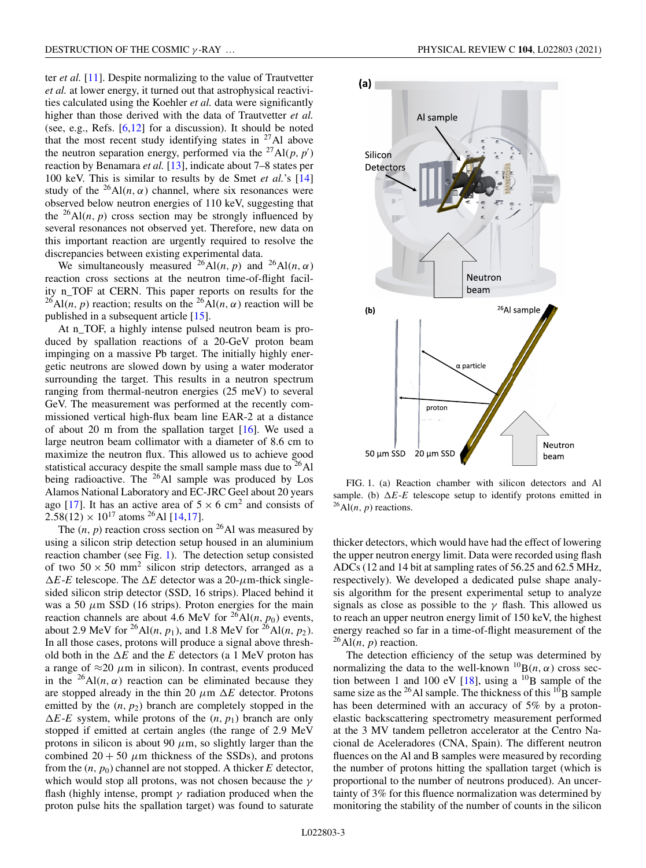ter *et al.* [\[11\]](#page-6-0). Despite normalizing to the value of Trautvetter *et al.* at lower energy, it turned out that astrophysical reactivities calculated using the Koehler *et al.* data were significantly higher than those derived with the data of Trautvetter *et al.* (see, e.g., Refs. [\[6,12\]](#page-6-0) for a discussion). It should be noted that the most recent study identifying states in  $27$ Al above the neutron separation energy, performed via the <sup>27</sup>Al( $p, p'$ ) reaction by Benamara *et al.* [\[13\]](#page-6-0), indicate about 7–8 states per 100 keV. This is similar to results by de Smet *et al.*'s [\[14\]](#page-6-0) study of the <sup>26</sup>Al(*n*,  $\alpha$ ) channel, where six resonances were observed below neutron energies of 110 keV, suggesting that the  $^{26}$ Al(*n*, *p*) cross section may be strongly influenced by several resonances not observed yet. Therefore, new data on this important reaction are urgently required to resolve the discrepancies between existing experimental data.

We simultaneously measured <sup>26</sup>Al(*n*, *p*) and <sup>26</sup>Al(*n*,  $\alpha$ ) reaction cross sections at the neutron time-of-flight facility n\_TOF at CERN. This paper reports on results for the  $^{26}$ Al(*n*, *p*) reaction; results on the  $^{26}$ Al(*n*,  $\alpha$ ) reaction will be published in a subsequent article [\[15\]](#page-6-0).

At n\_TOF, a highly intense pulsed neutron beam is produced by spallation reactions of a 20-GeV proton beam impinging on a massive Pb target. The initially highly energetic neutrons are slowed down by using a water moderator surrounding the target. This results in a neutron spectrum ranging from thermal-neutron energies (25 meV) to several GeV. The measurement was performed at the recently commissioned vertical high-flux beam line EAR-2 at a distance of about 20 m from the spallation target  $[16]$ . We used a large neutron beam collimator with a diameter of 8.6 cm to maximize the neutron flux. This allowed us to achieve good statistical accuracy despite the small sample mass due to  $^{26}$ Al being radioactive. The <sup>26</sup>Al sample was produced by Los Alamos National Laboratory and EC-JRC Geel about 20 years ago [\[17\]](#page-6-0). It has an active area of  $5 \times 6$  cm<sup>2</sup> and consists of  $2.58(12) \times 10^{17}$  atoms <sup>26</sup>Al [\[14,17\]](#page-6-0).

The  $(n, p)$  reaction cross section on <sup>26</sup>Al was measured by using a silicon strip detection setup housed in an aluminium reaction chamber (see Fig. 1). The detection setup consisted of two  $50 \times 50$  mm<sup>2</sup> silicon strip detectors, arranged as a  $\Delta E$ -*E* telescope. The  $\Delta E$  detector was a 20- $\mu$ m-thick singlesided silicon strip detector (SSD, 16 strips). Placed behind it was a 50  $\mu$ m SSD (16 strips). Proton energies for the main reaction channels are about 4.6 MeV for  ${}^{26}$ Al(*n*, *p*<sub>0</sub>) events, about 2.9 MeV for <sup>26</sup>Al(*n*, *p*<sub>1</sub>), and 1.8 MeV for <sup>26</sup>Al(*n*, *p*<sub>2</sub>). In all those cases, protons will produce a signal above threshold both in the  $\Delta E$  and the *E* detectors (a 1 MeV proton has a range of  $\approx$ 20  $\mu$ m in silicon). In contrast, events produced in the <sup>26</sup>Al(*n*,  $\alpha$ ) reaction can be eliminated because they are stopped already in the thin 20  $\mu$ m  $\Delta E$  detector. Protons emitted by the  $(n, p_2)$  branch are completely stopped in the  $\Delta E$ -*E* system, while protons of the  $(n, p_1)$  branch are only stopped if emitted at certain angles (the range of 2.9 MeV protons in silicon is about 90  $\mu$ m, so slightly larger than the combined  $20 + 50 \mu m$  thickness of the SSDs), and protons from the  $(n, p_0)$  channel are not stopped. A thicker  $E$  detector, which would stop all protons, was not chosen because the  $\gamma$ flash (highly intense, prompt  $\gamma$  radiation produced when the proton pulse hits the spallation target) was found to saturate



FIG. 1. (a) Reaction chamber with silicon detectors and Al sample. (b)  $\Delta E$ -*E* telescope setup to identify protons emitted in  $^{26}$ Al(*n*, *p*) reactions.

thicker detectors, which would have had the effect of lowering the upper neutron energy limit. Data were recorded using flash ADCs (12 and 14 bit at sampling rates of 56.25 and 62.5 MHz, respectively). We developed a dedicated pulse shape analysis algorithm for the present experimental setup to analyze signals as close as possible to the  $\gamma$  flash. This allowed us to reach an upper neutron energy limit of 150 keV, the highest energy reached so far in a time-of-flight measurement of the  $^{26}$ Al(*n*, *p*) reaction.

The detection efficiency of the setup was determined by normalizing the data to the well-known  ${}^{10}B(n, \alpha)$  cross sec-tion between 1 and 100 eV [\[18\]](#page-6-0), using a  $^{10}$ B sample of the same size as the  $^{26}$ Al sample. The thickness of this  $^{10}$ B sample has been determined with an accuracy of 5% by a protonelastic backscattering spectrometry measurement performed at the 3 MV tandem pelletron accelerator at the Centro Nacional de Aceleradores (CNA, Spain). The different neutron fluences on the Al and B samples were measured by recording the number of protons hitting the spallation target (which is proportional to the number of neutrons produced). An uncertainty of 3% for this fluence normalization was determined by monitoring the stability of the number of counts in the silicon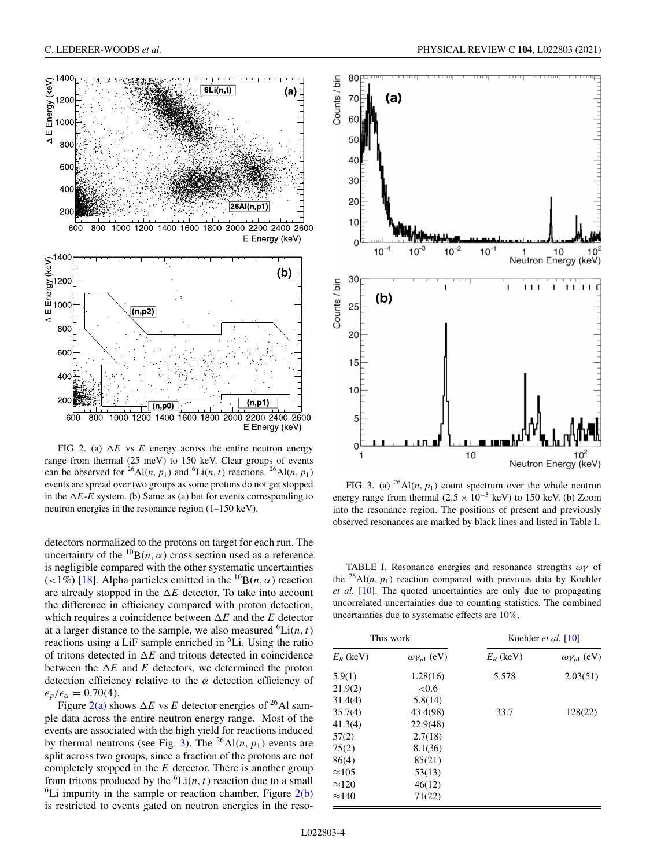

<span id="page-3-0"></span>

FIG. 2. (a)  $\Delta E$  vs  $E$  energy across the entire neutron energy range from thermal (25 meV) to 150 keV. Clear groups of events can be observed for <sup>26</sup>Al(*n*, *p*<sub>1</sub>) and <sup>6</sup>Li(*n*, *t*) reactions. <sup>26</sup>Al(*n*, *p*<sub>1</sub>) events are spread over two groups as some protons do not get stopped in the  $\Delta E$ -*E* system. (b) Same as (a) but for events corresponding to neutron energies in the resonance region (1–150 keV).

detectors normalized to the protons on target for each run. The uncertainty of the  ${}^{10}B(n, \alpha)$  cross section used as a reference is negligible compared with the other systematic uncertainties (<1%) [\[18\]](#page-6-0). Alpha particles emitted in the  ${}^{10}B(n, \alpha)$  reaction are already stopped in the  $\Delta E$  detector. To take into account the difference in efficiency compared with proton detection, which requires a coincidence between  $\Delta E$  and the *E* detector at a larger distance to the sample, we also measured  ${}^6\text{Li}(n, t)$ reactions using a LiF sample enriched in <sup>6</sup>Li. Using the ratio of tritons detected in  $\Delta E$  and tritons detected in coincidence between the  $\Delta E$  and  $E$  detectors, we determined the proton detection efficiency relative to the  $\alpha$  detection efficiency of  $\epsilon_p/\epsilon_\alpha = 0.70(4)$ .

Figure  $2(a)$  shows  $\Delta E$  vs *E* detector energies of <sup>26</sup>Al sample data across the entire neutron energy range. Most of the events are associated with the high yield for reactions induced by thermal neutrons (see Fig. 3). The <sup>26</sup>Al(*n*,  $p_1$ ) events are split across two groups, since a fraction of the protons are not completely stopped in the *E* detector. There is another group from tritons produced by the  ${}^6Li(n, t)$  reaction due to a small <sup>6</sup>Li impurity in the sample or reaction chamber. Figure  $2(b)$ is restricted to events gated on neutron energies in the reso-

FIG. 3. (a)  $^{26}$ Al(*n*,  $p_1$ ) count spectrum over the whole neutron energy range from thermal (2.5  $\times$  10<sup>-5</sup> keV) to 150 keV. (b) Zoom into the resonance region. The positions of present and previously observed resonances are marked by black lines and listed in Table I.

TABLE I. Resonance energies and resonance strengths  $\omega\gamma$  of the <sup>26</sup>Al(*n*,  $p_1$ ) reaction compared with previous data by Koehler *et al.* [\[10\]](#page-6-0). The quoted uncertainties are only due to propagating uncorrelated uncertainties due to counting statistics. The combined uncertainties due to systematic effects are 10%.

| This work     |                           | Koehler et al. $[10]$ |                           |
|---------------|---------------------------|-----------------------|---------------------------|
| $E_R$ (keV)   | $\omega \gamma_{p1}$ (eV) | $E_R$ (keV)           | $\omega \gamma_{p1}$ (eV) |
| 5.9(1)        | 1.28(16)                  | 5.578                 | 2.03(51)                  |
| 21.9(2)       | ${<}0.6$                  |                       |                           |
| 31.4(4)       | 5.8(14)                   |                       |                           |
| 35.7(4)       | 43.4(98)                  | 33.7                  | 128(22)                   |
| 41.3(4)       | 22.9(48)                  |                       |                           |
| 57(2)         | 2.7(18)                   |                       |                           |
| 75(2)         | 8.1(36)                   |                       |                           |
| 86(4)         | 85(21)                    |                       |                           |
| $\approx$ 105 | 53(13)                    |                       |                           |
| $\approx$ 120 | 46(12)                    |                       |                           |
| $\approx$ 140 | 71(22)                    |                       |                           |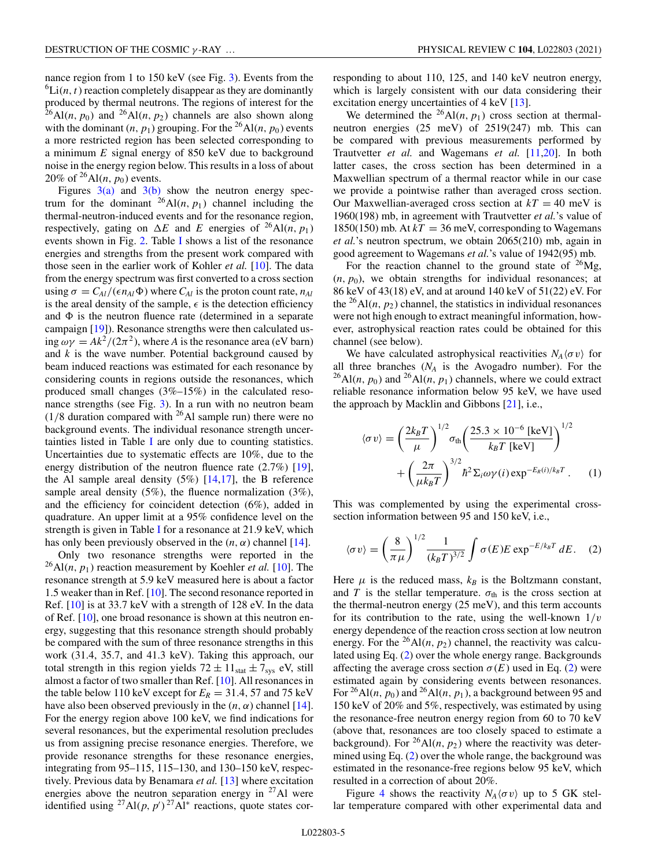nance region from 1 to 150 keV (see Fig. [3\)](#page-3-0). Events from the  ${}^6\text{Li}(n, t)$  reaction completely disappear as they are dominantly produced by thermal neutrons. The regions of interest for the  $^{26}$ Al(*n*, *p*<sub>0</sub>) and  $^{26}$ Al(*n*, *p*<sub>2</sub>) channels are also shown along with the dominant  $(n, p_1)$  grouping. For the <sup>26</sup>Al $(n, p_0)$  events a more restricted region has been selected corresponding to a minimum *E* signal energy of 850 keV due to background noise in the energy region below. This results in a loss of about 20% of  $^{26}$ Al(*n*, *p*<sub>0</sub>) events.

Figures  $3(a)$  and  $3(b)$  show the neutron energy spectrum for the dominant  $^{26}$ Al(*n*, *p*<sub>1</sub>) channel including the thermal-neutron-induced events and for the resonance region, respectively, gating on  $\Delta E$  and *E* energies of <sup>26</sup>Al(*n*, *p*<sub>1</sub>) events shown in Fig. [2.](#page-3-0) Table [I](#page-3-0) shows a list of the resonance energies and strengths from the present work compared with those seen in the earlier work of Kohler *et al.* [\[10\]](#page-6-0). The data from the energy spectrum was first converted to a cross section using  $\sigma = C_{Al}/(\epsilon n_{Al}\Phi)$  where  $C_{Al}$  is the proton count rate,  $n_{Al}$ is the areal density of the sample,  $\epsilon$  is the detection efficiency and  $\Phi$  is the neutron fluence rate (determined in a separate campaign [\[19\]](#page-6-0)). Resonance strengths were then calculated using  $\omega \gamma = Ak^2/(2\pi^2)$ , where *A* is the resonance area (eV barn) and *k* is the wave number. Potential background caused by beam induced reactions was estimated for each resonance by considering counts in regions outside the resonances, which produced small changes (3%–15%) in the calculated resonance strengths (see Fig. [3\)](#page-3-0). In a run with no neutron beam  $(1/8$  duration compared with <sup>26</sup>Al sample run) there were no background events. The individual resonance strength uncertainties listed in Table [I](#page-3-0) are only due to counting statistics. Uncertainties due to systematic effects are 10%, due to the energy distribution of the neutron fluence rate  $(2.7\%)$  [\[19\]](#page-6-0), the Al sample areal density  $(5\%)$  [\[14,17\]](#page-6-0), the B reference sample areal density  $(5\%)$ , the fluence normalization  $(3\%)$ , and the efficiency for coincident detection (6%), added in quadrature. An upper limit at a 95% confidence level on the strength is given in Table [I](#page-3-0) for a resonance at 21.9 keV, which has only been previously observed in the  $(n, \alpha)$  channel [\[14\]](#page-6-0).

Only two resonance strengths were reported in the  $^{26}$ Al(*n*,  $p_1$ ) reaction measurement by Koehler *et al.* [\[10\]](#page-6-0). The resonance strength at 5.9 keV measured here is about a factor 1.5 weaker than in Ref. [\[10\]](#page-6-0). The second resonance reported in Ref. [\[10\]](#page-6-0) is at 33.7 keV with a strength of 128 eV. In the data of Ref. [\[10\]](#page-6-0), one broad resonance is shown at this neutron energy, suggesting that this resonance strength should probably be compared with the sum of three resonance strengths in this work (31.4, 35.7, and 41.3 keV). Taking this approach, our total strength in this region yields  $72 \pm 11_{stat} \pm 7_{sys}$  eV, still almost a factor of two smaller than Ref. [\[10\]](#page-6-0). All resonances in the table below 110 keV except for  $E_R = 31.4$ , 57 and 75 keV have also been observed previously in the  $(n, \alpha)$  channel [\[14\]](#page-6-0). For the energy region above 100 keV, we find indications for several resonances, but the experimental resolution precludes us from assigning precise resonance energies. Therefore, we provide resonance strengths for these resonance energies, integrating from 95–115, 115–130, and 130–150 keV, respectively. Previous data by Benamara *et al.* [\[13\]](#page-6-0) where excitation energies above the neutron separation energy in  $27$ Al were identified using  $^{27}$ Al( $p, p'$ ) $^{27}$ Al<sup>\*</sup> reactions, quote states corresponding to about 110, 125, and 140 keV neutron energy, which is largely consistent with our data considering their excitation energy uncertainties of 4 keV [\[13\]](#page-6-0).

We determined the <sup>26</sup>Al(*n*,  $p_1$ ) cross section at thermalneutron energies (25 meV) of 2519(247) mb. This can be compared with previous measurements performed by Trautvetter *et al.* and Wagemans *et al.* [\[11,20\]](#page-6-0). In both latter cases, the cross section has been determined in a Maxwellian spectrum of a thermal reactor while in our case we provide a pointwise rather than averaged cross section. Our Maxwellian-averaged cross section at  $kT = 40$  meV is 1960(198) mb, in agreement with Trautvetter *et al.*'s value of 1850(150) mb. At  $kT = 36$  meV, corresponding to Wagemans *et al.*'s neutron spectrum, we obtain 2065(210) mb, again in good agreement to Wagemans *et al.*'s value of 1942(95) mb.

For the reaction channel to the ground state of  $^{26}Mg$ ,  $(n, p_0)$ , we obtain strengths for individual resonances; at 86 keV of 43(18) eV, and at around 140 keV of 51(22) eV. For the <sup>26</sup>Al(*n*,  $p_2$ ) channel, the statistics in individual resonances were not high enough to extract meaningful information, however, astrophysical reaction rates could be obtained for this channel (see below).

We have calculated astrophysical reactivities  $N_A \langle \sigma v \rangle$  for all three branches  $(N_A)$  is the Avogadro number). For the  $^{26}$ Al(*n*, *p*<sub>0</sub>) and  $^{26}$ Al(*n*, *p*<sub>1</sub>) channels, where we could extract reliable resonance information below 95 keV, we have used the approach by Macklin and Gibbons [\[21\]](#page-6-0), i.e.,

$$
\langle \sigma v \rangle = \left(\frac{2k_B T}{\mu}\right)^{1/2} \sigma_{\text{th}} \left(\frac{25.3 \times 10^{-6} \text{ [keV]}}{k_B T \text{ [keV]}}\right)^{1/2} + \left(\frac{2\pi}{\mu k_B T}\right)^{3/2} \hbar^2 \Sigma_i \omega \gamma(i) \exp^{-E_R(i)/k_B T}.
$$
 (1)

This was complemented by using the experimental crosssection information between 95 and 150 keV, i.e.,

$$
\langle \sigma v \rangle = \left(\frac{8}{\pi \mu}\right)^{1/2} \frac{1}{(k_B T)^{3/2}} \int \sigma(E) E \exp^{-E/k_B T} dE. \quad (2)
$$

Here  $\mu$  is the reduced mass,  $k_B$  is the Boltzmann constant, and *T* is the stellar temperature.  $\sigma_{th}$  is the cross section at the thermal-neutron energy (25 meV), and this term accounts for its contribution to the rate, using the well-known  $1/v$ energy dependence of the reaction cross section at low neutron energy. For the <sup>26</sup>Al(*n*,  $p_2$ ) channel, the reactivity was calculated using Eq. (2) over the whole energy range. Backgrounds affecting the average cross section  $\sigma(E)$  used in Eq. (2) were estimated again by considering events between resonances. For <sup>26</sup>Al(*n*,  $p_0$ ) and <sup>26</sup>Al(*n*,  $p_1$ ), a background between 95 and 150 keV of 20% and 5%, respectively, was estimated by using the resonance-free neutron energy region from 60 to 70 keV (above that, resonances are too closely spaced to estimate a background). For <sup>26</sup>Al(*n*,  $p_2$ ) where the reactivity was determined using Eq. (2) over the whole range, the background was estimated in the resonance-free regions below 95 keV, which resulted in a correction of about 20%.

Figure [4](#page-5-0) shows the reactivity  $N_A \langle \sigma v \rangle$  up to 5 GK stellar temperature compared with other experimental data and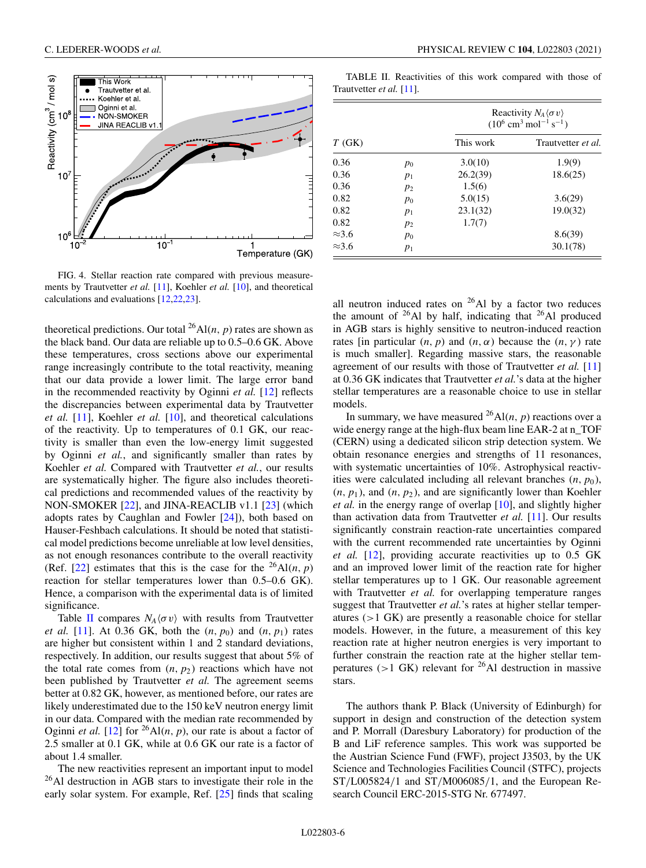<span id="page-5-0"></span>

FIG. 4. Stellar reaction rate compared with previous measurements by Trautvetter *et al.* [\[11\]](#page-6-0), Koehler *et al.* [\[10\]](#page-6-0), and theoretical calculations and evaluations [\[12,22,23\]](#page-6-0).

theoretical predictions. Our total  $^{26}$ Al(*n*, *p*) rates are shown as the black band. Our data are reliable up to 0.5–0.6 GK. Above these temperatures, cross sections above our experimental range increasingly contribute to the total reactivity, meaning that our data provide a lower limit. The large error band in the recommended reactivity by Oginni *et al.* [\[12\]](#page-6-0) reflects the discrepancies between experimental data by Trautvetter *et al.* [\[11\]](#page-6-0), Koehler *et al.* [\[10\]](#page-6-0), and theoretical calculations of the reactivity. Up to temperatures of 0.1 GK, our reactivity is smaller than even the low-energy limit suggested by Oginni *et al.*, and significantly smaller than rates by Koehler *et al.* Compared with Trautvetter *et al.*, our results are systematically higher. The figure also includes theoretical predictions and recommended values of the reactivity by NON-SMOKER [\[22\]](#page-6-0), and JINA-REACLIB v1.1 [\[23\]](#page-6-0) (which adopts rates by Caughlan and Fowler [\[24\]](#page-6-0)), both based on Hauser-Feshbach calculations. It should be noted that statistical model predictions become unreliable at low level densities, as not enough resonances contribute to the overall reactivity (Ref.  $[22]$ ) estimates that this is the case for the <sup>26</sup>Al(*n*, *p*) reaction for stellar temperatures lower than 0.5–0.6 GK). Hence, a comparison with the experimental data is of limited significance.

Table II compares  $N_A \langle \sigma v \rangle$  with results from Trautvetter *et al.* [\[11\]](#page-6-0). At 0.36 GK, both the  $(n, p_0)$  and  $(n, p_1)$  rates are higher but consistent within 1 and 2 standard deviations, respectively. In addition, our results suggest that about 5% of the total rate comes from  $(n, p_2)$  reactions which have not been published by Trautvetter *et al.* The agreement seems better at 0.82 GK, however, as mentioned before, our rates are likely underestimated due to the 150 keV neutron energy limit in our data. Compared with the median rate recommended by Oginni *et al.* [\[12\]](#page-6-0) for <sup>26</sup>Al(*n*, *p*), our rate is about a factor of 2.5 smaller at 0.1 GK, while at 0.6 GK our rate is a factor of about 1.4 smaller.

The new reactivities represent an important input to model  $^{26}$ Al destruction in AGB stars to investigate their role in the early solar system. For example, Ref. [\[25\]](#page-6-0) finds that scaling

TABLE II. Reactivities of this work compared with those of Trautvetter *et al.* [\[11\]](#page-6-0).

|               |       | Reactivity $N_A \langle \sigma v \rangle$<br>$(10^6 \text{ cm}^3 \text{ mol}^{-1} \text{ s}^{-1})$ |                    |  |
|---------------|-------|----------------------------------------------------------------------------------------------------|--------------------|--|
| T(GK)         |       | This work                                                                                          | Trautvetter et al. |  |
| 0.36          | $p_0$ | 3.0(10)                                                                                            | 1.9(9)             |  |
| 0.36          | $p_1$ | 26.2(39)                                                                                           | 18.6(25)           |  |
| 0.36          | $p_2$ | 1.5(6)                                                                                             |                    |  |
| 0.82          | $p_0$ | 5.0(15)                                                                                            | 3.6(29)            |  |
| 0.82          | $p_1$ | 23.1(32)                                                                                           | 19.0(32)           |  |
| 0.82          | $p_2$ | 1.7(7)                                                                                             |                    |  |
| $\approx$ 3.6 | $p_0$ |                                                                                                    | 8.6(39)            |  |
| $\approx$ 3.6 | $p_1$ |                                                                                                    | 30.1(78)           |  |

all neutron induced rates on  $^{26}$ Al by a factor two reduces the amount of  $^{26}$ Al by half, indicating that  $^{26}$ Al produced in AGB stars is highly sensitive to neutron-induced reaction rates [in particular  $(n, p)$  and  $(n, \alpha)$  because the  $(n, \gamma)$  rate is much smaller]. Regarding massive stars, the reasonable agreement of our results with those of Trautvetter *et al.* [\[11\]](#page-6-0) at 0.36 GK indicates that Trautvetter *et al.*'s data at the higher stellar temperatures are a reasonable choice to use in stellar models.

In summary, we have measured  $^{26}$ Al(*n*, *p*) reactions over a wide energy range at the high-flux beam line EAR-2 at n\_TOF (CERN) using a dedicated silicon strip detection system. We obtain resonance energies and strengths of 11 resonances, with systematic uncertainties of 10%. Astrophysical reactivities were calculated including all relevant branches  $(n, p_0)$ ,  $(n, p_1)$ , and  $(n, p_2)$ , and are significantly lower than Koehler *et al.* in the energy range of overlap [\[10\]](#page-6-0), and slightly higher than activation data from Trautvetter *et al.* [\[11\]](#page-6-0). Our results significantly constrain reaction-rate uncertainties compared with the current recommended rate uncertainties by Oginni *et al.* [\[12\]](#page-6-0), providing accurate reactivities up to 0.5 GK and an improved lower limit of the reaction rate for higher stellar temperatures up to 1 GK. Our reasonable agreement with Trautvetter *et al.* for overlapping temperature ranges suggest that Trautvetter *et al.*'s rates at higher stellar temperatures (>1 GK) are presently a reasonable choice for stellar models. However, in the future, a measurement of this key reaction rate at higher neutron energies is very important to further constrain the reaction rate at the higher stellar temperatures ( $>1$  GK) relevant for <sup>26</sup>Al destruction in massive stars.

The authors thank P. Black (University of Edinburgh) for support in design and construction of the detection system and P. Morrall (Daresbury Laboratory) for production of the B and LiF reference samples. This work was supported be the Austrian Science Fund (FWF), project J3503, by the UK Science and Technologies Facilities Council (STFC), projects ST/L005824/1 and ST/M006085/1, and the European Research Council ERC-2015-STG Nr. 677497.